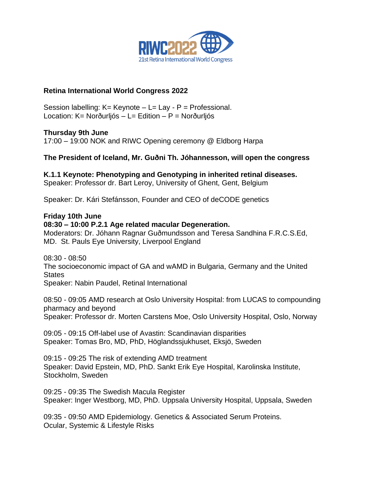

### **Retina International World Congress 2022**

Session labelling:  $K=$  Keynote – L= Lay - P = Professional. Location: K= Norðurljós – L= Edition – P = Norðurljós

## **Thursday 9th June**

17:00 – 19:00 NOK and RIWC Opening ceremony @ Eldborg Harpa

**The President of Iceland, Mr. Guðni Th. Jóhannesson, will open the congress**

**K.1.1 Keynote: Phenotyping and Genotyping in inherited retinal diseases.** 

Speaker: Professor dr. Bart Leroy, University of Ghent, Gent, Belgium

Speaker: Dr. Kári Stefánsson, Founder and CEO of deCODE genetics

## **Friday 10th June**

#### **08:30 – 10:00 P.2.1 Age related macular Degeneration.**

Moderators: Dr. Jóhann Ragnar Guðmundsson and Teresa Sandhina F.R.C.S.Ed, MD. St. Pauls Eye University, Liverpool England

08:30 - 08:50

The socioeconomic impact of GA and wAMD in Bulgaria, Germany and the United **States** 

Speaker: Nabin Paudel, Retinal International

08:50 - 09:05 AMD research at Oslo University Hospital: from LUCAS to compounding pharmacy and beyond Speaker: Professor dr. Morten Carstens Moe, Oslo University Hospital, Oslo, Norway

09:05 - 09:15 Off-label use of Avastin: Scandinavian disparities Speaker: Tomas Bro, MD, PhD, Höglandssjukhuset, Eksjö, Sweden

09:15 - 09:25 The risk of extending AMD treatment Speaker: David Epstein, MD, PhD. Sankt Erik Eye Hospital, Karolinska Institute, Stockholm, Sweden

09:25 - 09:35 The Swedish Macula Register Speaker: Inger Westborg, MD, PhD. Uppsala University Hospital, Uppsala, Sweden

09:35 - 09:50 AMD Epidemiology. Genetics & Associated Serum Proteins. Ocular, Systemic & Lifestyle Risks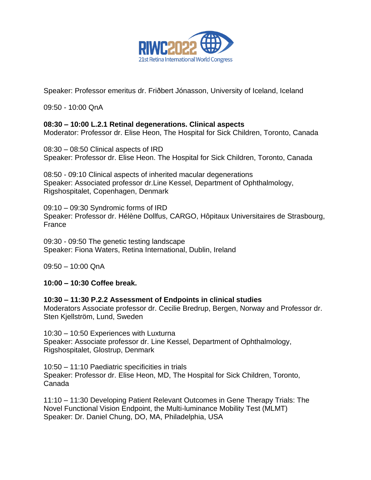

Speaker: Professor emeritus dr. Friðbert Jónasson, University of Iceland, Iceland

09:50 - 10:00 QnA

## **08:30 – 10:00 L.2.1 Retinal degenerations. Clinical aspects**

Moderator: Professor dr. Elise Heon, The Hospital for Sick Children, Toronto, Canada

08:30 – 08:50 Clinical aspects of IRD Speaker: Professor dr. Elise Heon. The Hospital for Sick Children, Toronto, Canada

08:50 - 09:10 Clinical aspects of inherited macular degenerations Speaker: Associated professor dr.Line Kessel, Department of Ophthalmology, Rigshospitalet, Copenhagen, Denmark

09:10 – 09:30 Syndromic forms of IRD Speaker: Professor dr. Hélène Dollfus, CARGO, Hôpitaux Universitaires de Strasbourg, France

09:30 - 09:50 The genetic testing landscape Speaker: Fiona Waters, Retina International, Dublin, Ireland

09:50 – 10:00 QnA

# **10:00 – 10:30 Coffee break.**

#### **10:30 – 11:30 P.2.2 Assessment of Endpoints in clinical studies**

Moderators Associate professor dr. Cecilie Bredrup, Bergen, Norway and Professor dr. Sten Kjellström, Lund, Sweden

10:30 – 10:50 Experiences with Luxturna Speaker: Associate professor dr. Line Kessel, Department of Ophthalmology, Rigshospitalet, Glostrup, Denmark

10:50 – 11:10 Paediatric specificities in trials Speaker: Professor dr. Elise Heon, MD, The Hospital for Sick Children, Toronto, Canada

11:10 – 11:30 Developing Patient Relevant Outcomes in Gene Therapy Trials: The Novel Functional Vision Endpoint, the Multi-luminance Mobility Test (MLMT) Speaker: Dr. Daniel Chung, DO, MA, Philadelphia, USA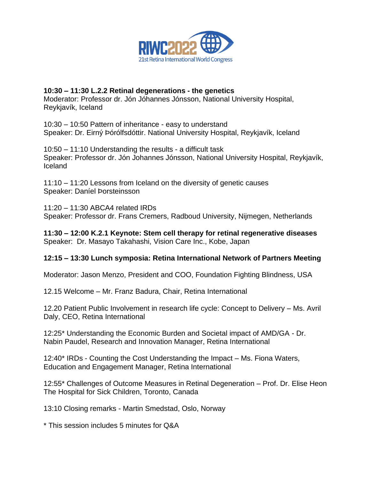

#### **10:30 – 11:30 L.2.2 Retinal degenerations - the genetics**

Moderator: Professor dr. Jón Jóhannes Jónsson, National University Hospital, Reykjavík, Iceland

10:30 – 10:50 Pattern of inheritance - easy to understand Speaker: Dr. Eirný Þórólfsdóttir. National University Hospital, Reykjavík, Iceland

10:50 – 11:10 Understanding the results - a difficult task Speaker: Professor dr. Jón Johannes Jónsson, National University Hospital, Reykjavík, Iceland

11:10 – 11:20 Lessons from Iceland on the diversity of genetic causes Speaker: Daníel Þorsteinsson

11:20 – 11:30 ABCA4 related IRDs Speaker: Professor dr. Frans Cremers, Radboud University, Nijmegen, Netherlands

**11:30 – 12:00 K.2.1 Keynote: Stem cell therapy for retinal regenerative diseases** Speaker: Dr. Masayo Takahashi, Vision Care Inc., Kobe, Japan

# **12:15 – 13:30 Lunch symposia: Retina International Network of Partners Meeting**

Moderator: Jason Menzo, President and COO, Foundation Fighting Blindness, USA

12.15 Welcome – Mr. Franz Badura, Chair, Retina International

12.20 Patient Public Involvement in research life cycle: Concept to Delivery – Ms. Avril Daly, CEO, Retina International

12:25\* Understanding the Economic Burden and Societal impact of AMD/GA - Dr. Nabin Paudel, Research and Innovation Manager, Retina International

12:40\* IRDs - Counting the Cost Understanding the Impact – Ms. Fiona Waters, Education and Engagement Manager, Retina International

12:55\* Challenges of Outcome Measures in Retinal Degeneration – Prof. Dr. Elise Heon The Hospital for Sick Children, Toronto, Canada

13:10 Closing remarks - Martin Smedstad, Oslo, Norway

\* This session includes 5 minutes for Q&A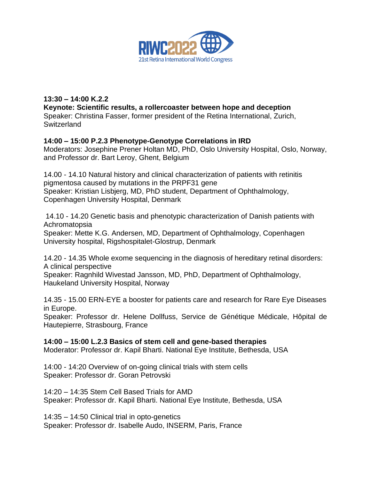

#### **13:30 – 14:00 K.2.2 Keynote: Scientific results, a rollercoaster between hope and deception** Speaker: Christina Fasser, former president of the Retina International, Zurich, **Switzerland**

## **14:00 – 15:00 P.2.3 Phenotype-Genotype Correlations in IRD**

Moderators: Josephine Prener Holtan MD, PhD, Oslo University Hospital, Oslo, Norway, and Professor dr. Bart Leroy, Ghent, Belgium

14.00 - 14.10 Natural history and clinical characterization of patients with retinitis pigmentosa caused by mutations in the PRPF31 gene Speaker: Kristian Lisbjerg, MD, PhD student, Department of Ophthalmology, Copenhagen University Hospital, Denmark

14.10 - 14.20 Genetic basis and phenotypic characterization of Danish patients with Achromatopsia

Speaker: Mette K.G. Andersen, MD, Department of Ophthalmology, Copenhagen University hospital, Rigshospitalet-Glostrup, Denmark

14.20 - 14.35 Whole exome sequencing in the diagnosis of hereditary retinal disorders: A clinical perspective

Speaker: Ragnhild Wivestad Jansson, MD, PhD, Department of Ophthalmology, Haukeland University Hospital, Norway

14.35 - 15.00 ERN-EYE a booster for patients care and research for Rare Eye Diseases in Europe.

Speaker: Professor dr. Helene Dollfuss, Service de Génétique Médicale, Hôpital de Hautepierre, Strasbourg, France

#### **14:00 – 15:00 L.2.3 Basics of stem cell and gene-based therapies**

Moderator: Professor dr. Kapil Bharti. National Eye Institute, Bethesda, USA

14:00 - 14:20 Overview of on-going clinical trials with stem cells Speaker: Professor dr. Goran Petrovski

14:20 – 14:35 Stem Cell Based Trials for AMD Speaker: Professor dr. Kapil Bharti. National Eye Institute, Bethesda, USA

14:35 – 14:50 Clinical trial in opto-genetics Speaker: Professor dr. Isabelle Audo, INSERM, Paris, France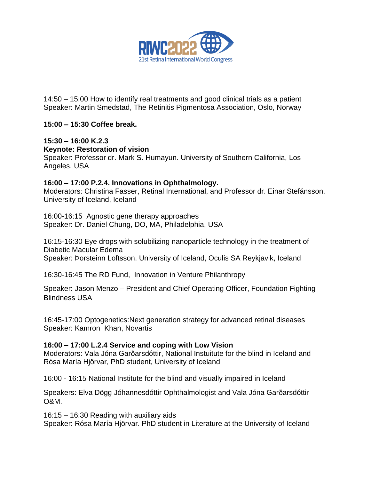

14:50 – 15:00 How to identify real treatments and good clinical trials as a patient Speaker: Martin Smedstad, The Retinitis Pigmentosa Association, Oslo, Norway

## **15:00 – 15:30 Coffee break.**

#### **15:30 – 16:00 K.2.3**

#### **Keynote: Restoration of vision**

Speaker: Professor dr. Mark S. Humayun. University of Southern California, Los Angeles, USA

#### **16:00 – 17:00 P.2.4. Innovations in Ophthalmology.**

Moderators: Christina Fasser, Retinal International, and Professor dr. Einar Stefánsson. University of Iceland, Iceland

16:00-16:15 Agnostic gene therapy approaches Speaker: Dr. Daniel Chung, DO, MA, Philadelphia, USA

16:15-16:30 Eye drops with solubilizing nanoparticle technology in the treatment of Diabetic Macular Edema Speaker: Þorsteinn Loftsson. University of Iceland, Oculis SA Reykjavik, Iceland

16:30-16:45 The RD Fund, Innovation in Venture Philanthropy

Speaker: Jason Menzo – President and Chief Operating Officer, Foundation Fighting Blindness USA

16:45-17:00 Optogenetics:Next generation strategy for advanced retinal diseases Speaker: Kamron Khan, Novartis

#### **16:00 – 17:00 L.2.4 Service and coping with Low Vision**

Moderators: Vala Jóna Garðarsdóttir, National Instuitute for the blind in Iceland and Rósa María Hjörvar, PhD student, University of Iceland

16:00 - 16:15 National Institute for the blind and visually impaired in Iceland

Speakers: Elva Dögg Jóhannesdóttir Ophthalmologist and Vala Jóna Garðarsdóttir O&M.

16:15 – 16:30 Reading with auxiliary aids

Speaker: Rósa María Hjörvar. PhD student in Literature at the University of Iceland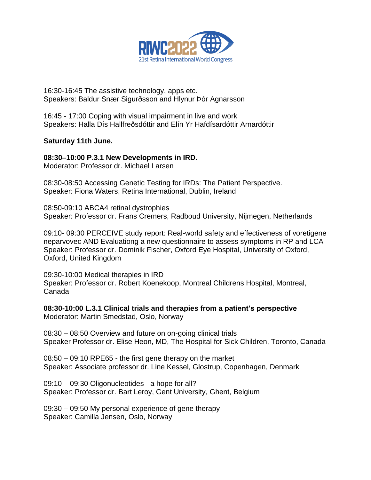

16:30-16:45 The assistive technology, apps etc. Speakers: Baldur Snær Sigurðsson and Hlynur Þór Agnarsson

16:45 - 17:00 Coping with visual impairment in live and work Speakers: Halla Dís Hallfreðsdóttir and Elín Yr Hafdísardóttir Arnardóttir

## **Saturday 11th June.**

## **08:30–10:00 P.3.1 New Developments in IRD.**

Moderator: Professor dr. Michael Larsen

08:30-08:50 Accessing Genetic Testing for IRDs: The Patient Perspective. Speaker: Fiona Waters, Retina International, Dublin, Ireland

08:50-09:10 ABCA4 retinal dystrophies Speaker: Professor dr. Frans Cremers, Radboud University, Nijmegen, Netherlands

09:10- 09:30 PERCEIVE study report: Real-world safety and effectiveness of voretigene neparvovec AND Evaluationg a new questionnaire to assess symptoms in RP and LCA Speaker: Professor dr. Dominik Fischer, Oxford Eye Hospital, University of Oxford, Oxford, United Kingdom

09:30-10:00 Medical therapies in IRD Speaker: Professor dr. Robert Koenekoop, Montreal Childrens Hospital, Montreal, Canada

**08:30-10:00 L.3.1 Clinical trials and therapies from a patient's perspective** Moderator: Martin Smedstad, Oslo, Norway

08:30 – 08:50 Overview and future on on-going clinical trials Speaker Professor dr. Elise Heon, MD, The Hospital for Sick Children, Toronto, Canada

08:50 – 09:10 RPE65 - the first gene therapy on the market Speaker: Associate professor dr. Line Kessel, Glostrup, Copenhagen, Denmark

09:10 – 09:30 Oligonucleotides - a hope for all? Speaker: Professor dr. Bart Leroy, Gent University, Ghent, Belgium

09:30 – 09:50 My personal experience of gene therapy Speaker: Camilla Jensen, Oslo, Norway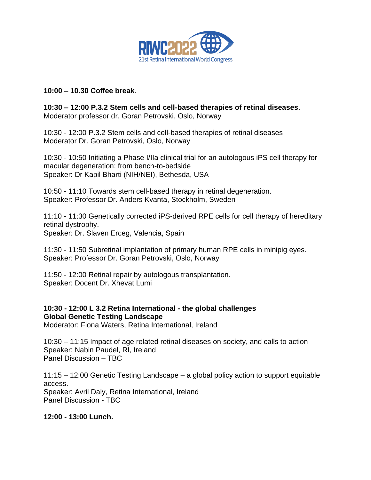

### **10:00 – 10.30 Coffee break**.

**10:30 – 12:00 P.3.2 Stem cells and cell-based therapies of retinal diseases**. Moderator professor dr. Goran Petrovski, Oslo, Norway

10:30 - 12:00 P.3.2 Stem cells and cell-based therapies of retinal diseases Moderator Dr. Goran Petrovski, Oslo, Norway

10:30 - 10:50 Initiating a Phase I/IIa clinical trial for an autologous iPS cell therapy for macular degeneration: from bench-to-bedside Speaker: Dr Kapil Bharti (NIH/NEI), Bethesda, USA

10:50 - 11:10 Towards stem cell-based therapy in retinal degeneration. Speaker: Professor Dr. Anders Kvanta, Stockholm, Sweden

11:10 - 11:30 Genetically corrected iPS-derived RPE cells for cell therapy of hereditary retinal dystrophy. Speaker: Dr. Slaven Erceg, Valencia, Spain

11:30 - 11:50 Subretinal implantation of primary human RPE cells in minipig eyes. Speaker: Professor Dr. Goran Petrovski, Oslo, Norway

11:50 - 12:00 Retinal repair by autologous transplantation. Speaker: Docent Dr. Xhevat Lumi

# **10:30 - 12:00 L 3.2 Retina International - the global challenges Global Genetic Testing Landscape**

Moderator: Fiona Waters, Retina International, Ireland

10:30 – 11:15 Impact of age related retinal diseases on society, and calls to action Speaker: Nabin Paudel, RI, Ireland Panel Discussion – TBC

11:15 – 12:00 Genetic Testing Landscape – a global policy action to support equitable access. Speaker: Avril Daly, Retina International, Ireland Panel Discussion - TBC

**12:00 - 13:00 Lunch.**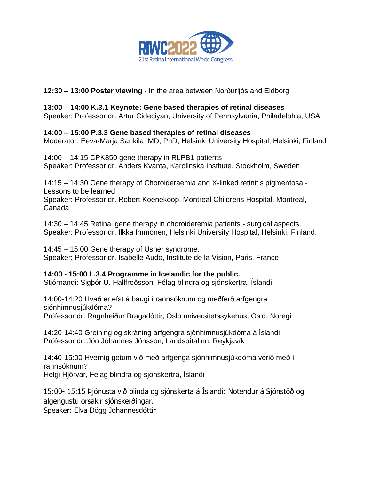

# **12:30 – 13:00 Poster viewing** - In the area between Norðurljós and Eldborg

# 1**3:00 – 14:00 K.3.1 Keynote: Gene based therapies of retinal diseases**

Speaker: Professor dr. Artur Cideciyan, University of Pennsylvania, Philadelphia, USA

## **14:00 – 15:00 P.3.3 Gene based therapies of retinal diseases**

Moderator: Eeva-Marja Sankila, MD, PhD, Helsinki University Hospital, Helsinki, Finland

14:00 – 14:15 CPK850 gene therapy in RLPB1 patients Speaker: Professor dr. Anders Kvanta, Karolinska Institute, Stockholm, Sweden

14:15 – 14:30 Gene therapy of Choroideraemia and X-linked retinitis pigmentosa - Lessons to be learned

Speaker: Professor dr. Robert Koenekoop, Montreal Childrens Hospital, Montreal, Canada

14:30 – 14:45 Retinal gene therapy in choroideremia patients - surgical aspects. Speaker: Professor dr. Ilkka Immonen, Helsinki University Hospital, Helsinki, Finland.

14:45 – 15:00 Gene therapy of Usher syndrome. Speaker: Professor dr. Isabelle Audo, Institute de la Vision, Paris, France.

# **14:00 - 15:00 L.3.4 Programme in Icelandic for the public.**

Stjórnandi: Sigþór U. Hallfreðsson, Félag blindra og sjónskertra, Íslandi

14:00-14:20 Hvað er efst á baugi í rannsóknum og meðferð arfgengra sjónhimnusjúkdóma? Prófessor dr. Ragnheiður Bragadóttir, Oslo universitetssykehus, Osló, Noregi

14:20-14:40 Greining og skráning arfgengra sjónhimnusjúkdóma á Íslandi Prófessor dr. Jón Jóhannes Jónsson, Landspítalinn, Reykjavík

14:40-15:00 Hvernig getum við með arfgenga sjónhimnusjúkdóma verið með í rannsóknum? Helgi Hjörvar, Félag blindra og sjónskertra, Íslandi

15:00- 15:15 Þjónusta við blinda og sjónskerta á Íslandi: Notendur á Sjónstöð og algengustu orsakir sjónskerðingar.

Speaker: Elva Dögg Jóhannesdóttir